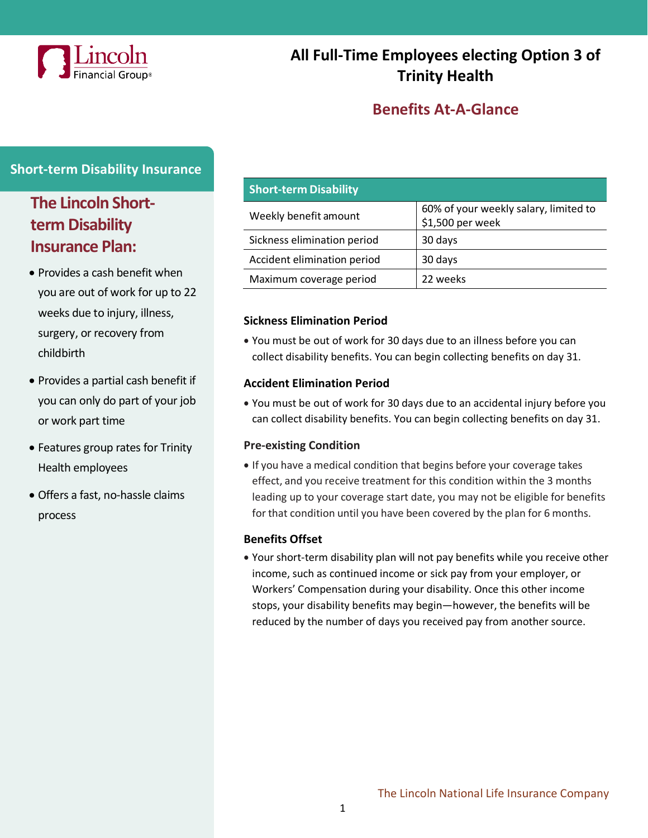

# **All Full-Time Employees electing Option 3 of Trinity Health**

## **Benefits At-A-Glance**

### **Short-term Disability Insurance**

# **The Lincoln Shortterm Disability Insurance Plan:**

- Provides a cash benefit when you are out of work for up to 22 weeks due to injury, illness, surgery, or recovery from childbirth
- Provides a partial cash benefit if you can only do part of your job or work part time
- Features group rates for Trinity Health employees
- Offers a fast, no-hassle claims process

| <b>Short-term Disability</b> |                                                           |
|------------------------------|-----------------------------------------------------------|
| Weekly benefit amount        | 60% of your weekly salary, limited to<br>\$1,500 per week |
| Sickness elimination period  | 30 days                                                   |
| Accident elimination period  | 30 days                                                   |
| Maximum coverage period      | 22 weeks                                                  |

#### **Sickness Elimination Period**

• You must be out of work for 30 days due to an illness before you can collect disability benefits. You can begin collecting benefits on day 31.

#### **Accident Elimination Period**

• You must be out of work for 30 days due to an accidental injury before you can collect disability benefits. You can begin collecting benefits on day 31.

#### **Pre-existing Condition**

• If you have a medical condition that begins before your coverage takes effect, and you receive treatment for this condition within the 3 months leading up to your coverage start date, you may not be eligible for benefits for that condition until you have been covered by the plan for 6 months.

#### **Benefits Offset**

• Your short-term disability plan will not pay benefits while you receive other income, such as continued income or sick pay from your employer, or Workers' Compensation during your disability. Once this other income stops, your disability benefits may begin—however, the benefits will be reduced by the number of days you received pay from another source.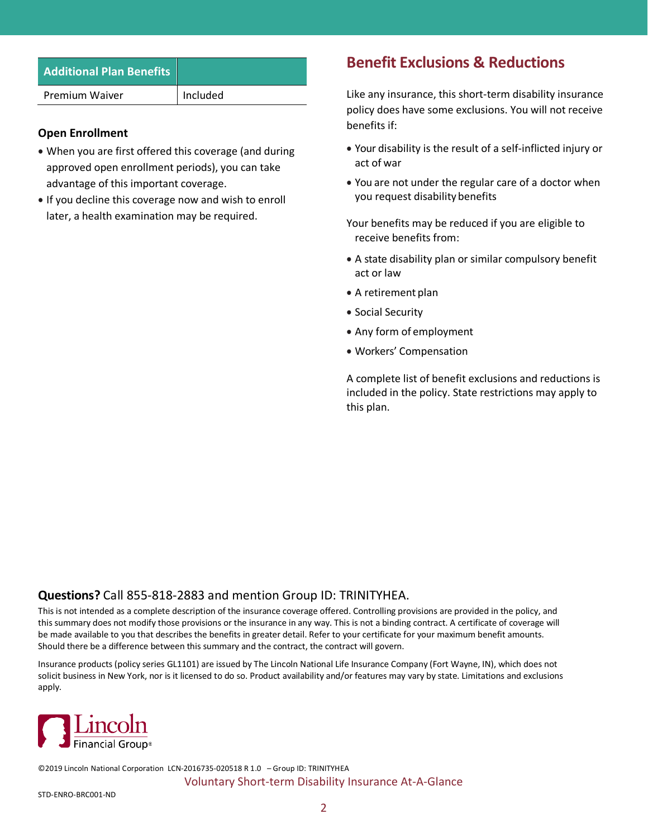| <b>Additional Plan Benefits</b> |          |
|---------------------------------|----------|
| <b>Premium Waiver</b>           | Included |
|                                 |          |

#### **Open Enrollment**

- When you are first offered this coverage (and during approved open enrollment periods), you can take advantage of this important coverage.
- If you decline this coverage now and wish to enroll later, a health examination may be required.

## **Benefit Exclusions & Reductions**

Like any insurance, this short-term disability insurance policy does have some exclusions. You will not receive benefits if:

- Your disability is the result of a self-inflicted injury or act of war
- You are not under the regular care of a doctor when you request disability benefits
- Your benefits may be reduced if you are eligible to receive benefits from:
- A state disability plan or similar compulsory benefit act or law
- A retirement plan
- Social Security
- Any form of employment
- Workers' Compensation

A complete list of benefit exclusions and reductions is included in the policy. State restrictions may apply to this plan.

#### **Questions?** Call 855-818-2883 and mention Group ID: TRINITYHEA.

This is not intended as a complete description of the insurance coverage offered. Controlling provisions are provided in the policy, and this summary does not modify those provisions or the insurance in any way. This is not a binding contract. A certificate of coverage will be made available to you that describes the benefits in greater detail. Refer to your certificate for your maximum benefit amounts. Should there be a difference between this summary and the contract, the contract will govern.

Insurance products (policy series GL1101) are issued by The Lincoln National Life Insurance Company (Fort Wayne, IN), which does not solicit business in New York, nor is it licensed to do so. Product availability and/or features may vary by state. Limitations and exclusions apply.



©2019 Lincoln National Corporation LCN-2016735-020518 R 1.0 – Group ID: TRINITYHEA Voluntary Short-term Disability Insurance At-A-Glance

STD-ENRO-BRC001-ND